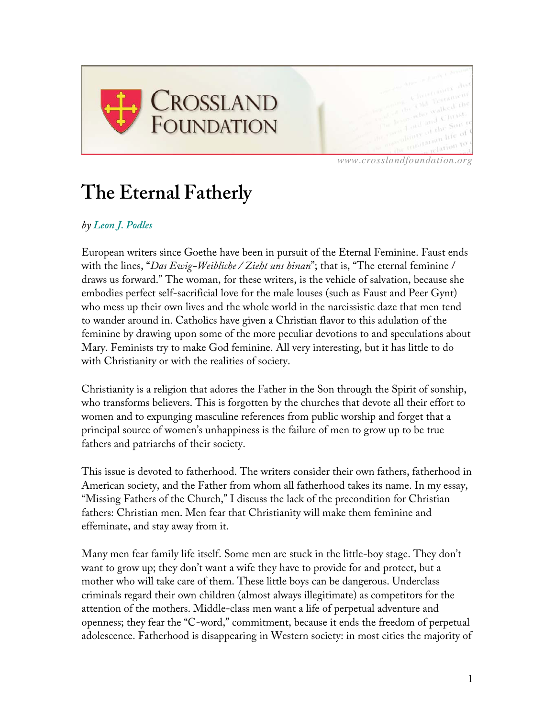

*www.crosslandfoundation.org*

## **The Eternal Fatherly**

## *by Leon J. Podles*

European writers since Goethe have been in pursuit of the Eternal Feminine. Faust ends with the lines, "*Das Ewig-Weibliche / Zieht uns hinan*"; that is, "The eternal feminine / draws us forward." The woman, for these writers, is the vehicle of salvation, because she embodies perfect self-sacrificial love for the male louses (such as Faust and Peer Gynt) who mess up their own lives and the whole world in the narcissistic daze that men tend to wander around in. Catholics have given a Christian flavor to this adulation of the feminine by drawing upon some of the more peculiar devotions to and speculations about Mary. Feminists try to make God feminine. All very interesting, but it has little to do with Christianity or with the realities of society.

Christianity is a religion that adores the Father in the Son through the Spirit of sonship, who transforms believers. This is forgotten by the churches that devote all their effort to women and to expunging masculine references from public worship and forget that a principal source of women's unhappiness is the failure of men to grow up to be true fathers and patriarchs of their society.

This issue is devoted to fatherhood. The writers consider their own fathers, fatherhood in American society, and the Father from whom all fatherhood takes its name. In my essay, "Missing Fathers of the Church," I discuss the lack of the precondition for Christian fathers: Christian men. Men fear that Christianity will make them feminine and effeminate, and stay away from it.

Many men fear family life itself. Some men are stuck in the little-boy stage. They don't want to grow up; they don't want a wife they have to provide for and protect, but a mother who will take care of them. These little boys can be dangerous. Underclass criminals regard their own children (almost always illegitimate) as competitors for the attention of the mothers. Middle-class men want a life of perpetual adventure and openness; they fear the "C-word," commitment, because it ends the freedom of perpetual adolescence. Fatherhood is disappearing in Western society: in most cities the majority of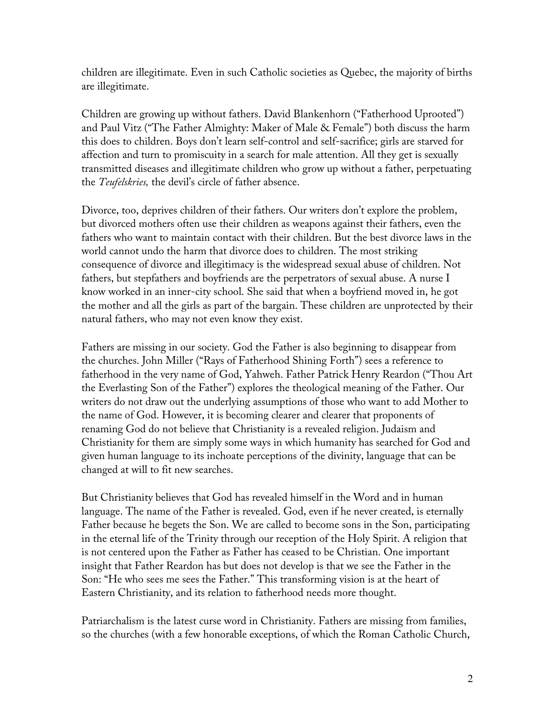children are illegitimate. Even in such Catholic societies as Quebec, the majority of births are illegitimate.

Children are growing up without fathers. David Blankenhorn ("Fatherhood Uprooted") and Paul Vitz ("The Father Almighty: Maker of Male & Female") both discuss the harm this does to children. Boys don't learn self-control and self-sacrifice; girls are starved for affection and turn to promiscuity in a search for male attention. All they get is sexually transmitted diseases and illegitimate children who grow up without a father, perpetuating the *Teufelskries,* the devil's circle of father absence.

Divorce, too, deprives children of their fathers. Our writers don't explore the problem, but divorced mothers often use their children as weapons against their fathers, even the fathers who want to maintain contact with their children. But the best divorce laws in the world cannot undo the harm that divorce does to children. The most striking consequence of divorce and illegitimacy is the widespread sexual abuse of children. Not fathers, but stepfathers and boyfriends are the perpetrators of sexual abuse. A nurse I know worked in an inner-city school. She said that when a boyfriend moved in, he got the mother and all the girls as part of the bargain. These children are unprotected by their natural fathers, who may not even know they exist.

Fathers are missing in our society. God the Father is also beginning to disappear from the churches. John Miller ("Rays of Fatherhood Shining Forth") sees a reference to fatherhood in the very name of God, Yahweh. Father Patrick Henry Reardon ("Thou Art the Everlasting Son of the Father") explores the theological meaning of the Father. Our writers do not draw out the underlying assumptions of those who want to add Mother to the name of God. However, it is becoming clearer and clearer that proponents of renaming God do not believe that Christianity is a revealed religion. Judaism and Christianity for them are simply some ways in which humanity has searched for God and given human language to its inchoate perceptions of the divinity, language that can be changed at will to fit new searches.

But Christianity believes that God has revealed himself in the Word and in human language. The name of the Father is revealed. God, even if he never created, is eternally Father because he begets the Son. We are called to become sons in the Son, participating in the eternal life of the Trinity through our reception of the Holy Spirit. A religion that is not centered upon the Father as Father has ceased to be Christian. One important insight that Father Reardon has but does not develop is that we see the Father in the Son: "He who sees me sees the Father." This transforming vision is at the heart of Eastern Christianity, and its relation to fatherhood needs more thought.

Patriarchalism is the latest curse word in Christianity. Fathers are missing from families, so the churches (with a few honorable exceptions, of which the Roman Catholic Church,